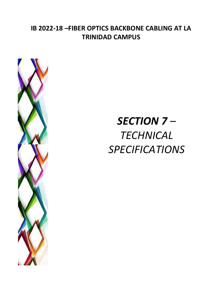## **IB 2022-18 –FIBER OPTICS BACKBONE CABLING AT LA TRINIDAD CAMPUS**



# *SECTION 7 – TECHNICAL SPECIFICATIONS*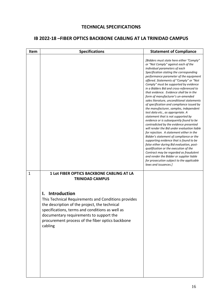#### **TECHNICAL SPECIFICATIONS**

#### **IB 2022-18 –FIBER OPTICS BACKBONE CABLING AT LA TRINIDAD CAMPUS**

| Item         | <b>Specifications</b>                                                                                                                                                                                                                                                                                                                                                 | <b>Statement of Compliance</b>                                                                                                                                                                                                                                                                                                                                                                                                                                                                                                                                                                                                                                                                                                                                                                                                                                                                                                                                                                                                                                                                                                                               |
|--------------|-----------------------------------------------------------------------------------------------------------------------------------------------------------------------------------------------------------------------------------------------------------------------------------------------------------------------------------------------------------------------|--------------------------------------------------------------------------------------------------------------------------------------------------------------------------------------------------------------------------------------------------------------------------------------------------------------------------------------------------------------------------------------------------------------------------------------------------------------------------------------------------------------------------------------------------------------------------------------------------------------------------------------------------------------------------------------------------------------------------------------------------------------------------------------------------------------------------------------------------------------------------------------------------------------------------------------------------------------------------------------------------------------------------------------------------------------------------------------------------------------------------------------------------------------|
|              |                                                                                                                                                                                                                                                                                                                                                                       | [Bidders must state here either "Comply"<br>or "Not Comply" against each of the<br>individual parameters of each<br>Specification stating the corresponding<br>performance parameter of the equipment<br>offered. Statements of "Comply" or "Not<br>Comply" must be supported by evidence<br>in a Bidders Bid and cross-referenced to<br>that evidence. Evidence shall be in the<br>form of manufacturer's un-amended<br>sales literature, unconditional statements<br>of specification and compliance issued by<br>the manufacturer, samples, independent<br>test data etc., as appropriate. A<br>statement that is not supported by<br>evidence or is subsequently found to be<br>contradicted by the evidence presented<br>will render the Bid under evaluation liable<br>for rejection. A statement either in the<br>Bidder's statement of compliance or the<br>supporting evidence that is found to be<br>false either during Bid evaluation, post-<br>qualification or the execution of the<br>Contract may be regarded as fraudulent<br>and render the Bidder or supplier liable<br>for prosecution subject to the applicable<br>laws and issuances.] |
| $\mathbf{1}$ | <b>1 Lot FIBER OPTICS BACKBONE CABLING AT LA</b><br><b>TRINIDAD CAMPUS</b><br>Introduction<br>I.<br>This Technical Requirements and Conditions provides<br>the description of the project, the technical<br>specifications, terms and conditions as well as<br>documentary requirements to support the<br>procurement process of the fiber optics backbone<br>cabling |                                                                                                                                                                                                                                                                                                                                                                                                                                                                                                                                                                                                                                                                                                                                                                                                                                                                                                                                                                                                                                                                                                                                                              |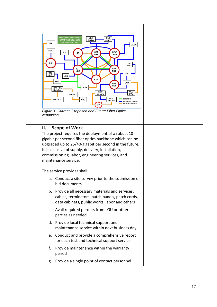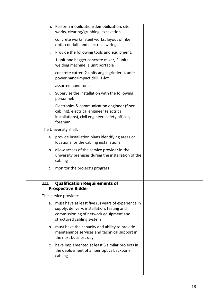|      | h. Perform mobilization/demobilization, site<br>works, clearing/grubbing, excavation                                                                                        |  |
|------|-----------------------------------------------------------------------------------------------------------------------------------------------------------------------------|--|
|      | concrete works, steel works, layout of fiber<br>optic conduit, and electrical wirings.                                                                                      |  |
| i.   | Provide the following tools and equipment:                                                                                                                                  |  |
|      | 1 unit one bagger concrete mixer, 2 units-<br>welding machine, 1 unit portable                                                                                              |  |
|      | concrete cutter, 2-units angle grinder, 4 units<br>power hand/impact drill, 1-lot                                                                                           |  |
|      | assorted hand tools.                                                                                                                                                        |  |
| j.   | Supervise the installation with the following<br>personnel:                                                                                                                 |  |
|      | Electronics & communication engineer (fiber<br>cabling), electrical engineer (electrical<br>installations), civil engineer, safety officer,<br>foreman.                     |  |
|      | The University shall:                                                                                                                                                       |  |
|      | a. provide installation plans identifying areas or<br>locations for the cabling installations                                                                               |  |
|      | b. allow access of the service provider in the<br>university premises during the installation of the<br>cabling                                                             |  |
| c.   | monitor the project's progress                                                                                                                                              |  |
| III. | <b>Qualification Requirements of</b><br><b>Prospective Bidder</b>                                                                                                           |  |
|      | The service provider:                                                                                                                                                       |  |
|      | a. must have at least five (5) years of experience in<br>supply, delivery, installation, testing and<br>commissioning of network equipment and<br>structured cabling system |  |
|      | b. must have the capacity and ability to provide<br>maintenance services and technical support in<br>the next business day                                                  |  |
|      | c. have implemented at least 3 similar projects in<br>the deployment of a fiber optics backbone<br>cabling                                                                  |  |
|      |                                                                                                                                                                             |  |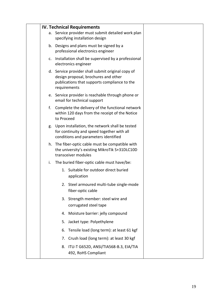|    | <b>IV. Technical Requirements</b>                                                                                                                         |  |
|----|-----------------------------------------------------------------------------------------------------------------------------------------------------------|--|
|    | a. Service provider must submit detailed work plan<br>specifying installation design                                                                      |  |
|    | b. Designs and plans must be signed by a<br>professional electronics engineer                                                                             |  |
|    | c. Installation shall be supervised by a professional<br>electronics engineer                                                                             |  |
|    | d. Service provider shall submit original copy of<br>design proposal, brochures and other<br>publications that supports compliance to the<br>requirements |  |
|    | e. Service provider is reachable through phone or<br>email for technical support                                                                          |  |
| f. | Complete the delivery of the functional network<br>within 120 days from the receipt of the Notice<br>to Proceed                                           |  |
|    | g. Upon installation, the network shall be tested<br>for continuity and speed together with all<br>conditions and parameters identified                   |  |
|    | h. The fiber-optic cable must be compatible with<br>the university's existing MikroTik S+31DLC10D<br>transceiver modules                                  |  |
| i. | The buried fiber-optic cable must have/be:                                                                                                                |  |
|    | 1. Suitable for outdoor direct buried<br>application                                                                                                      |  |
|    | 2. Steel armoured multi-tube single-mode<br>fiber-optic cable                                                                                             |  |
|    | 3. Strength member: steel wire and<br>corrugated steel tape                                                                                               |  |
|    | 4. Moisture barrier: jelly compound                                                                                                                       |  |
|    | 5. Jacket type: Polyethylene                                                                                                                              |  |
|    | Tensile load (long term): at least 61 kgf<br>6.                                                                                                           |  |
|    | 7. Crush load (long term): at least 30 kgf                                                                                                                |  |
|    | 8. ITU-T G652D, ANSI/TIA568-B.3, EIA/TIA<br>492, RoHS Compliant                                                                                           |  |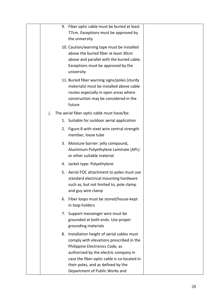|    | 9. Fiber optic cable must be buried at least<br>77cm. Exceptions must be approved by<br>the university                                                                                                                                                                                      |
|----|---------------------------------------------------------------------------------------------------------------------------------------------------------------------------------------------------------------------------------------------------------------------------------------------|
|    | 10. Caution/warning tape must be installed<br>above the buried fiber at least 30cm<br>above and parallel with the buried cable.<br>Exceptions must be approved by the<br>university                                                                                                         |
|    | 11. Buried fiber warning signs/poles (sturdy<br>materials) must be installed above cable<br>routes especially in open areas where<br>construction may be considered in the<br>future                                                                                                        |
| j. | The aerial fiber-optic cable must have/be:                                                                                                                                                                                                                                                  |
|    | 1. Suitable for outdoor aerial application                                                                                                                                                                                                                                                  |
|    | Figure 8 with steel wire central strength<br>2.<br>member, loose tube                                                                                                                                                                                                                       |
|    | 3. Moisture barrier: jelly compound,<br>Aluminium Polyethylene Laminate (APL)<br>or other suitable material                                                                                                                                                                                 |
|    | 4. Jacket type: Polyethylene                                                                                                                                                                                                                                                                |
|    | 5. Aerial FOC attachment to poles must use<br>standard electrical mounting hardware<br>such as, but not limited to, pole clamp<br>and guy wire clamp                                                                                                                                        |
|    | 6. Fiber loops must be stored/house-kept<br>in loop holders                                                                                                                                                                                                                                 |
|    | 7. Support messenger wire must be<br>grounded at both ends. Use proper<br>grounding materials                                                                                                                                                                                               |
|    | 8. Installation height of aerial cables must<br>comply with elevations prescribed in the<br>Philippine Electronics Code, as<br>authorized by the electric company in<br>case the fiber-optic cable is co-located in<br>their poles, and as defined by the<br>Department of Public Works and |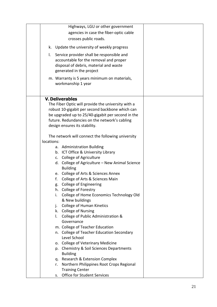| Highways, LGU or other government                  |  |
|----------------------------------------------------|--|
| agencies in case the fiber-optic cable             |  |
|                                                    |  |
| crosses public roads.                              |  |
| Update the university of weekly progress<br>k.     |  |
| Service provider shall be responsible and<br>I.    |  |
| accountable for the removal and proper             |  |
| disposal of debris, material and waste             |  |
| generated in the project                           |  |
|                                                    |  |
| m. Warranty is 5 years minimum on materials,       |  |
| workmanship 1 year                                 |  |
|                                                    |  |
| <b>V. Deliverables</b>                             |  |
| The Fiber Optic will provide the university with a |  |
| robust 10-gigabit per second backbone which can    |  |
| be upgraded up to 25/40-gigabit per second in the  |  |
| future. Redundancies on the network's cabling      |  |
|                                                    |  |
| design ensures its stability.                      |  |
| The network will connect the following university  |  |
| locations:                                         |  |
| a. Administration Building                         |  |
| b. ICT Office & University Library                 |  |
|                                                    |  |
| c. College of Agriculture                          |  |
| d. College of Agriculture - New Animal Science     |  |
| <b>Building</b>                                    |  |
| e. College of Arts & Sciences Annex                |  |
| College of Arts & Sciences Main<br>f.              |  |
| College of Engineering<br>g.                       |  |
| h. College of Forestry                             |  |
| College of Home Economics Technology Old<br>i.     |  |
| & New buildings                                    |  |
| <b>College of Human Kinetics</b><br>j.             |  |
| k. College of Nursing                              |  |
| College of Public Administration &<br>I.           |  |
| Governance                                         |  |
| m. College of Teacher Education                    |  |
| College of Teacher Education Secondary<br>n.       |  |
| Level School                                       |  |
|                                                    |  |
| o. College of Veterinary Medicine                  |  |
| Chemistry & Soil Sciences Departments<br>p.        |  |
| <b>Building</b>                                    |  |
| Research & Extension Complex<br>q.                 |  |
| Northern Philippines Root Crops Regional<br>r.     |  |
| <b>Training Center</b>                             |  |
| Office for Student Services<br>S.                  |  |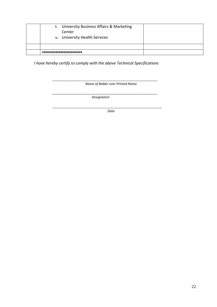|                          | t. University Business Affairs & Marketing<br>Center<br>u. University Health Services |  |
|--------------------------|---------------------------------------------------------------------------------------|--|
|                          |                                                                                       |  |
| XXXXXXXXXXXXXXXXXXXXXXXX |                                                                                       |  |

 *I have hereby certify to comply with the above Technical Specifications*

\_\_\_\_\_\_\_\_\_\_\_\_\_\_\_\_\_\_\_\_\_\_\_\_\_\_\_\_\_\_\_\_\_\_\_\_\_\_\_\_\_\_\_\_\_\_\_\_ *Name of Bidder over Printed Name*

*\_\_\_\_\_\_\_\_\_\_\_\_\_\_\_\_\_\_\_\_\_\_\_\_\_\_\_\_\_\_\_\_\_\_\_\_\_\_\_\_\_\_\_\_\_\_\_\_\_\_\_\_\_\_\_\_\_\_ Designation*

\_\_\_\_\_\_\_\_\_\_\_\_\_\_\_\_\_\_\_\_\_\_\_\_\_\_\_\_\_\_\_\_\_\_\_\_\_\_\_\_\_\_\_\_\_\_\_\_\_\_ *Date*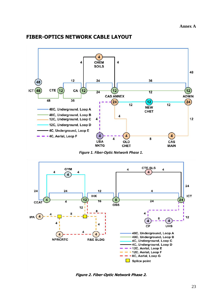

#### **FIBER-OPTICS NETWORK CABLE LAYOUT**

*Figure 1. Fiber-Optic Network Phase 1.*



**Figure 2. Fiber-Optic Network Phase 2.**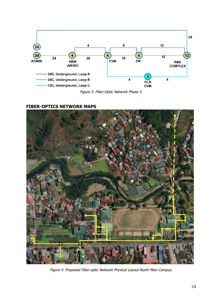

Figure 3. Fiber-Optic Network Phase 3.

#### **FIBER-OPTICS NETWORK MAPS**



Figure 4. Proposed Fiber-optic Network Physical Layout North Main Campus.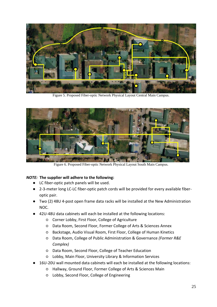

Figure 5. Proposed Fiber-optic Network Physical Layout Central Main Campus.



Figure 6. Proposed Fiber-optic Network Physical Layout South Main Campus.

#### *NOTE:* **The supplier will adhere to the following:**

- LC fiber-optic patch panels will be used.
- 2-3-meter long LC-LC fiber-optic patch cords will be provided for every available fiberoptic pair.
- Two (2) 48U 4-post open frame data racks will be installed at the New Administration NOC.
- 42U-48U data cabinets will each be installed at the following locations:
	- Corner Lobby, First Floor, College of Agriculture
	- Data Room, Second Floor, Former College of Arts & Sciences Annex
	- Backstage, Audio Visual Room, First Floor, College of Human Kinetics
	- Data Room, College of Public Administration & Governance *(Former R&E Complex)*
	- Data Room, Second Floor, College of Teacher Education
	- Lobby, Main Floor, University Library & Information Services
- 16U-20U wall mounted data cabinets will each be installed at the following locations:
	- Hallway, Ground Floor, Former College of Arts & Sciences Main
	- Lobby, Second Floor, College of Engineering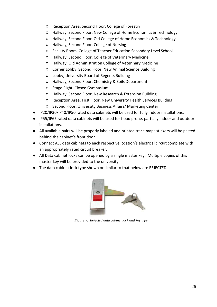- Reception Area, Second Floor, College of Forestry
- Hallway, Second Floor, New College of Home Economics & Technology
- Hallway, Second Floor, Old College of Home Economics & Technology
- Hallway, Second Floor, College of Nursing
- Faculty Room, College of Teacher Education Secondary Level School
- Hallway, Second Floor, College of Veterinary Medicine
- Hallway, Old Administration College of Veterinary Medicine
- Corner Lobby, Second Floor, New Animal Science Building
- Lobby, University Board of Regents Building
- Hallway, Second Floor, Chemistry & Soils Department
- Stage Right, Closed Gymnasium
- Hallway, Second Floor, New Research & Extension Building
- Reception Area, First Floor, New University Health Services Building
- Second Floor, University Business Affairs/ Marketing Center
- IP20/IP30/IP40/IP50 rated data cabinets will be used for fully indoor installations.
- IP55/IP65 rated data cabinets will be used for flood prone, partially indoor and outdoor installations.
- All available pairs will be properly labeled and printed trace maps stickers will be pasted behind the cabinet's front door.
- Connect ALL data cabinets to each respective location's electrical circuit complete with an appropriately rated circuit breaker.
- All Data cabinet locks can be opened by a single master key. Multiple copies of this master key will be provided to the university.
- The data cabinet lock type shown or similar to that below are REJECTED.



*Figure 7. Rejected data cabinet lock and key type*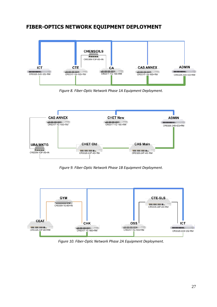### **FIBER-OPTICS NETWORK EQUIPMENT DEPLOYMENT**



*Figure 8. Fiber-Optic Network Phase 1A Equipment Deployment.*



*Figure 9. Fiber-Optic Network Phase 1B Equipment Deployment*.



*Figure 10. Fiber-Optic Network Phase 2A Equipment Deployment.*